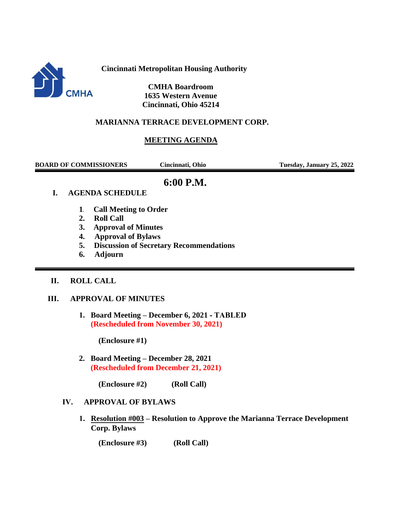

**Cincinnati Metropolitan Housing Authority**

 **CMHA Boardroom 1635 Western Avenue Cincinnati, Ohio 45214**

### **MARIANNA TERRACE DEVELOPMENT CORP.**

## **MEETING AGENDA**

**BOARD OF COMMISSIONERS Cincinnati, Ohio Tuesday, January 25, 2022**

# **6:00 P.M.**

### **I. AGENDA SCHEDULE**

- **1. Call Meeting to Order**
- **2. Roll Call**
- **3. Approval of Minutes**
- **4. Approval of Bylaws**
- **5. Discussion of Secretary Recommendations**
- **6. Adjourn**

#### **II. ROLL CALL**

#### **III. APPROVAL OF MINUTES**

**1. Board Meeting – December 6, 2021 - TABLED (Rescheduled from November 30, 2021)**

**(Enclosure #1)**

**2. Board Meeting – December 28, 2021 (Rescheduled from December 21, 2021)**

**(Enclosure #2) (Roll Call)**

#### **IV. APPROVAL OF BYLAWS**

**1. Resolution #003 – Resolution to Approve the Marianna Terrace Development Corp. Bylaws**

 **(Enclosure #3) (Roll Call)**